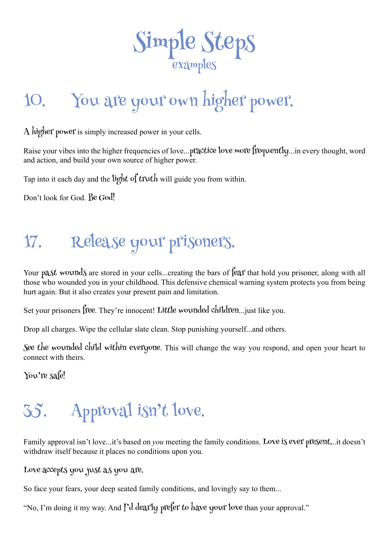

# 10. You are your own higher power.

A higher power is simply increased power in your cells.

Raise your vibes into the higher frequencies of love...practice love more frequently...in every thought, word and action, and build your own source of higher power.

Tap into it each day and the light of truth will guide you from within.

Don't look for God. Be God!

#### 17. Release your prisoners.

Your past wounds are stored in your cells...creating the bars of fear that hold you prisoner, along with all those who wounded you in your childhood. This defensive chemical warning system protects you from being hurt again. But it also creates your present pain and limitation.

Set your prisoners free. They're innocent! Little wounded children... just like you.

Drop all charges. Wipe the cellular slate clean. Stop punishing yourself...and others.

See the wounded child within everyone. This will change the way you respond, and open your heart to connect with theirs.

You're safe!

### 35. Approval isn't love.

Family approval isn't love...it's based on *you* meeting the family conditions. Love is ever present...it doesn't withdraw itself because it places no conditions upon you.

Love accepts you just as you are.

So face your fears, your deep seated family conditions, and lovingly say to them...

"No, I'm doing it my way. And I'd dearly prefer to have your love than your approval."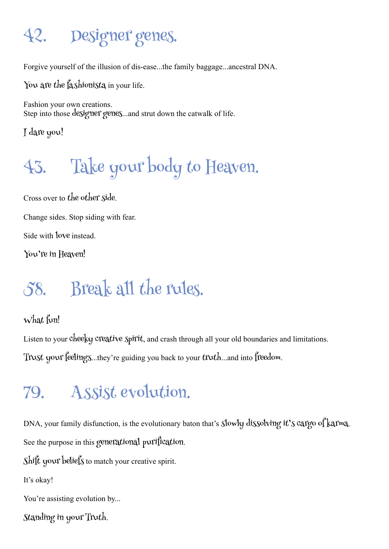### 42. Designer genes.

Forgive yourself of the illusion of dis-ease...the family baggage...ancestral DNA.

You are the fashionista in your life.

Fashion your own creations. Step into those designer genes...and strut down the catwalk of life.

I dare you!

# 43. Take your body to Heaven.

Cross over to the other side.

Change sides. Stop siding with fear.

Side with love instead.

You're in Heaven!

### 58. Break all the rules.

What fun!

Listen to your cheeky creative spirit, and crash through all your old boundaries and limitations. Trust your feelings...they're guiding you back to your truth...and into freedom.

#### 79. Assist evolution.

DNA, your family disfunction, is the evolutionary baton that's slowly dissolving it's cargo of karma. See the purpose in this generational purification.

Shift your beliefs to match your creative spirit.

It's okay!

You're assisting evolution by...

Standing in your Truth.